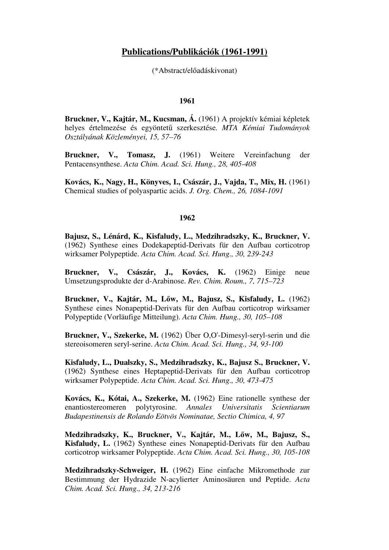# **Publications/Publikációk (1961-1991)**

(\*Abstract/előadáskivonat)

### **1961**

**Bruckner, V., Kajtár, M., Kucsman, Á.** (1961) A projektív kémiai képletek helyes értelmezése és egyöntetű szerkesztése. *MTA Kémiai Tudományok Osztályának Közleményei, 15, 57–76*

**Bruckner, V., Tomasz, J.** (1961) Weitere Vereinfachung der Pentacensynthese. *Acta Chim. Acad. Sci. Hung., 28, 405-408*

**Kovács, K., Nagy, H., Könyves, I., Császár, J., Vajda, T., Mix, H.** (1961) Chemical studies of polyaspartic acids. *J. Org. Chem., 26, 1084-1091*

# **1962**

**Bajusz, S., Lénárd, K., Kisfaludy, L., Medzihradszky, K., Bruckner, V.**  (1962) Synthese eines Dodekapeptid-Derivats für den Aufbau corticotrop wirksamer Polypeptide. *Acta Chim. Acad. Sci. Hung., 30, 239-243*

**Bruckner, V., Császár, J., Kovács, K.** (1962) Einige neue Umsetzungsprodukte der d-Arabinose. *Rev. Chim. Roum., 7, 715–723* 

**Bruckner, V., Kajtár, M., L**ő**w, M., Bajusz, S., Kisfaludy, L.** (1962) Synthese eines Nonapeptid-Derivats für den Aufbau corticotrop wirksamer Polypeptide (Vorläufige Mitteilung). *Acta Chim. Hung., 30, 105–108* 

**Bruckner, V., Szekerke, M.** (1962) Über O,O'-Dimesyl-seryl-serin und die stereoisomeren seryl-serine. *Acta Chim. Acad. Sci. Hung., 34, 93-100*

**Kisfaludy, L., Dualszky, S., Medzihradszky, K., Bajusz S., Bruckner, V.**  (1962) Synthese eines Heptapeptid-Derivats für den Aufbau corticotrop wirksamer Polypeptide. *Acta Chim. Acad. Sci. Hung., 30, 473-475*

**Kovács, K., Kótai, A., Szekerke, M.** (1962) Eine rationelle synthese der enantiostereomeren polytyrosine. *Annales Universitatis Scientiarum Budapestinensis de Rolando Eötvös Nominatae, Sectio Chimica, 4, 97*

**Medzihradszky, K., Bruckner, V., Kajtár, M., L**ő**w, M., Bajusz, S., Kisfaludy, L.** (1962) Synthese eines Nonapeptid-Derivats für den Aufbau corticotrop wirksamer Polypeptide. *Acta Chim. Acad. Sci. Hung., 30, 105-108*

**Medzihradszky-Schweiger, H.** (1962) Eine einfache Mikromethode zur Bestimmung der Hydrazide N-acylierter Aminosäuren und Peptide. *Acta Chim. Acad. Sci. Hung., 34, 213-216*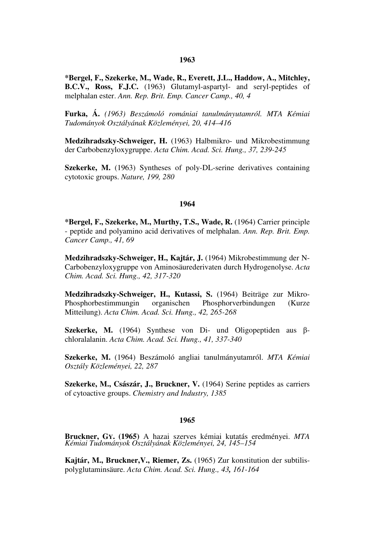# **1963**

**\*Bergel, F., Szekerke, M., Wade, R., Everett, J.L., Haddow, A., Mitchley, B.C.V., Ross, F.J.C.** (1963) Glutamyl-aspartyl- and seryl-peptides of melphalan ester. *Ann. Rep. Brit. Emp. Cancer Camp., 40, 4*

**Furka, Á.** *(1963) Beszámoló romániai tanulmányutamról. MTA Kémiai Tudományok Osztályának Közleményei, 20, 414–416*

**Medzihradszky-Schweiger, H.** (1963) Halbmikro- und Mikrobestimmung der Carbobenzyloxygruppe. *Acta Chim. Acad. Sci. Hung., 37, 239-245*

**Szekerke, M.** (1963) Syntheses of poly-DL-serine derivatives containing cytotoxic groups. *Nature, 199, 280*

# **1964**

**\*Bergel, F., Szekerke, M., Murthy, T.S., Wade, R.** (1964) Carrier principle - peptide and polyamino acid derivatives of melphalan. *Ann. Rep. Brit. Emp. Cancer Camp., 41, 69*

**Medzihradszky-Schweiger, H., Kajtár, J.** (1964) Mikrobestimmung der N-Carbobenzyloxygruppe von Aminosäurederivaten durch Hydrogenolyse. *Acta Chim. Acad. Sci. Hung., 42, 317-320*

**Medzihradszky-Schweiger, H., Kutassi, S.** (1964) Beiträge zur Mikro-Phosphorbestimmungin organischen Phosphorverbindungen (Kurze Mitteilung). *Acta Chim. Acad. Sci. Hung., 42, 265-268*

**Szekerke, M.** (1964) Synthese von Di- und Oligopeptiden aus βchloralalanin. *Acta Chim. Acad. Sci. Hung., 41, 337-340*

**Szekerke, M.** (1964) Beszámoló angliai tanulmányutamról. *MTA Kémiai Osztály Közleményei, 22, 287*

**Szekerke, M., Császár, J., Bruckner, V.** (1964) Serine peptides as carriers of cytoactive groups. *Chemistry and Industry, 1385*

#### **1965**

**Bruckner, GY. (1965)** A hazai szerves kémiai kutatás eredményei. *MTA Kémiai Tudományok Osztályának Közleményei, 24, 145–154* 

**Kajtár, M., Bruckner,V., Riemer, Zs.** (1965) Zur konstitution der subtilispolyglutaminsäure. *Acta Chim. Acad. Sci. Hung., 43, 161-164*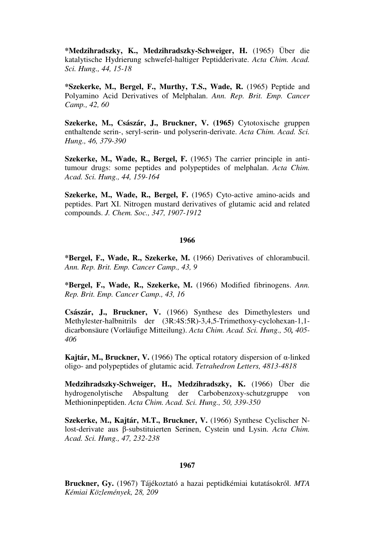**\*Medzihradszky, K., Medzihradszky-Schweiger, H.** (1965) Über die katalytische Hydrierung schwefel-haltiger Peptidderivate. *Acta Chim. Acad. Sci. Hung., 44, 15-18* 

**\*Szekerke, M., Bergel, F., Murthy, T.S., Wade, R.** (1965) Peptide and Polyamino Acid Derivatives of Melphalan. *Ann. Rep. Brit. Emp. Cancer Camp., 42, 60*

**Szekerke, M., Császár, J., Bruckner, V. (1965)** Cytotoxische gruppen enthaltende serin-, seryl-serin- und polyserin-derivate. *Acta Chim. Acad. Sci. Hung., 46, 379-390*

**Szekerke, M., Wade, R., Bergel, F.** (1965) The carrier principle in antitumour drugs: some peptides and polypeptides of melphalan. *Acta Chim. Acad. Sci. Hung., 44, 159-164*

**Szekerke, M., Wade, R., Bergel, F.** (1965) Cyto-active amino-acids and peptides. Part XI. Nitrogen mustard derivatives of glutamic acid and related compounds. *J. Chem. Soc., 347, 1907-1912*

### **1966**

**\*Bergel, F., Wade, R., Szekerke, M.** (1966) Derivatives of chlorambucil. *Ann. Rep. Brit. Emp. Cancer Camp., 43, 9*

**\*Bergel, F., Wade, R., Szekerke, M.** (1966) Modified fibrinogens. *Ann. Rep. Brit. Emp. Cancer Camp., 43, 16*

**Császár, J., Bruckner, V.** (1966) Synthese des Dimethylesters und Methylester-halbnitrils der (3R:4S:5R)-3,4,5-Trimethoxy-cyclohexan-1,1 dicarbonsäure (Vorläufige Mitteilung). *Acta Chim. Acad. Sci. Hung., 50, 405- 406*

**Kajtár, M., Bruckner, V.** (1966) The optical rotatory dispersion of α-linked oligo- and polypeptides of glutamic acid. *Tetrahedron Letters, 4813-4818*

**Medzihradszky-Schweiger, H., Medzihradszky, K.** (1966) Über die hydrogenolytische Abspaltung der Carbobenzoxy-schutzgruppe von Methioninpeptiden. *Acta Chim. Acad. Sci. Hung., 50, 339-350*

**Szekerke, M., Kajtár, M.T., Bruckner, V.** (1966) Synthese Cyclischer Nlost-derivate aus β-substituierten Serinen, Cystein und Lysin. *Acta Chim. Acad. Sci. Hung., 47, 232-238*

### **1967**

**Bruckner, Gy.** (1967) Tájékoztató a hazai peptidkémiai kutatásokról. *MTA Kémiai Közlemények, 28, 209*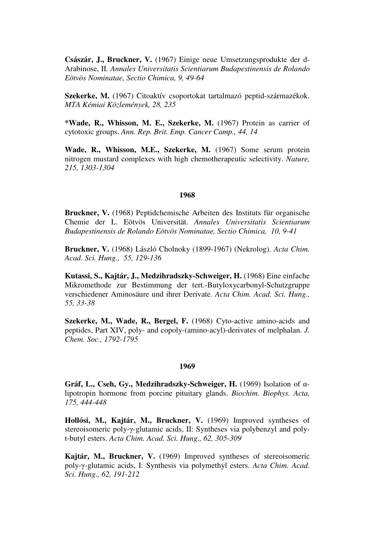**Császár, J., Bruckner, V.** (1967) Einige neue Umsetzungsprodukte der d-Arabinose, II*. Annales Universitatis Scientiarum Budapestinensis de Rolando Eötvös Nominatae, Sectio Chimica, 9, 49-64* 

**Szekerke, M.** (1967) Citoaktív csoportokat tartalmazó peptid-származékok. *MTA Kémiai Közlemények, 28, 235*

**\*Wade, R., Whisson, M. E., Szekerke, M.** (1967) Protein as carrier of cytotoxic groups. *Ann. Rep. Brit. Emp. Cancer Camp., 44, 14*

Wade, R., Whisson, M.E., Szekerke, M. (1967) Some serum protein nitrogen mustard complexes with high chemotherapeutic selectivity. *Nature, 215, 1303-1304*

### **1968**

**Bruckner, V.** (1968) Peptidchemische Arbeiten des Instituts für organische Chemie der L. Eötvös Universität. *Annales Universitatis Scientiarum Budapestinensis de Rolando Eötvös Nominatae, Sectio Chimica, 10, 9-41*

**Bruckner, V.** (1968) László Cholnoky (1899-1967) (Nekrolog). *Acta Chim. Acad. Sci. Hung., 55, 129-136*

**Kutassi, S., Kajtár, J., Medzihradszky-Schweiger, H.** (1968) Eine einfache Mikromethode zur Bestimmung der tert.-Butyloxycarbonyl-Schutzgruppe verschiedener Aminosäure und ihrer Derivate. *Acta Chim. Acad. Sci. Hung., 55, 33-38*

**Szekerke, M., Wade, R., Bergel, F.** (1968) Cyto-active amino-acids and peptides, Part XIV, poly- and copoly-(amino-acyl)-derivates of melphalan. *J. Chem. Soc., 1792-1795*

#### **1969**

**Gráf, L., Cseh, Gy., Medzihradszky-Schweiger, H.** (1969) Isolation of αlipotropin hormone from porcine pituitary glands. *Biochim. Biophys. Acta, 175, 444-448*

**Hollósi, M., Kajtár, M., Bruckner, V.** (1969) Improved syntheses of stereoisomeric poly-γ-glutamic acids, II: Syntheses via polybenzyl and polyt-butyl esters. *Acta Chim. Acad. Sci. Hung., 62, 305-309*

**Kajtár, M., Bruckner, V.** (1969) Improved syntheses of stereoisomeric poly-γ-glutamic acids, I: Synthesis via polymethyl esters. *Acta Chim. Acad. Sci. Hung., 62, 191-212*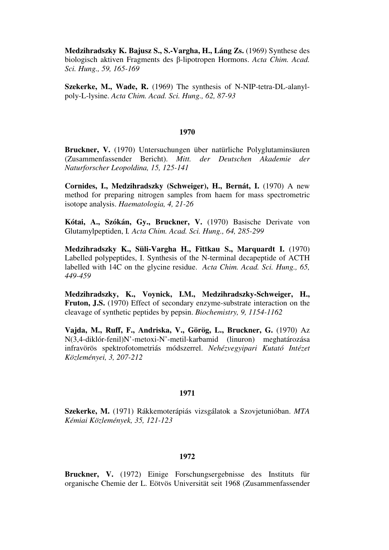**Medzihradszky K. Bajusz S., S.-Vargha, H., Láng Zs.** (1969) Synthese des biologisch aktiven Fragments des β-lipotropen Hormons. *Acta Chim. Acad. Sci. Hung., 59, 165-169*

**Szekerke, M., Wade, R.** (1969) The synthesis of N-NIP-tetra-DL-alanylpoly-L-lysine. *Acta Chim. Acad. Sci. Hung., 62, 87-93*

### **1970**

**Bruckner, V.** (1970) Untersuchungen über natürliche Polyglutaminsäuren (Zusammenfassender Bericht). *Mitt. der Deutschen Akademie der Naturforscher Leopoldina, 15, 125-141*

**Cornides, I., Medzihradszky (Schweiger), H., Bernát, I.** (1970) A new method for preparing nitrogen samples from haem for mass spectrometric isotope analysis. *Haematologia, 4, 21-26*

**Kótai, A., Szókán, Gy., Bruckner, V.** (1970) Basische Derivate von Glutamylpeptiden, I*. Acta Chim. Acad. Sci. Hung., 64, 285-299*

**Medzihradszky K., Süli-Vargha H., Fittkau S., Marquardt I.** (1970) Labelled polypeptides, I. Synthesis of the N-terminal decapeptide of ACTH labelled with 14C on the glycine residue. *Acta Chim. Acad. Sci. Hung., 65, 449-459*

**Medzihradszky, K., Voynick, I.M., Medzihradszky-Schweiger, H., Fruton, J.S.** (1970) Effect of secondary enzyme-substrate interaction on the cleavage of synthetic peptides by pepsin. *Biochemistry, 9, 1154-1162*

**Vajda, M., Ruff, F., Andriska, V., Görög, L., Bruckner, G.** (1970) Az N(3,4-diklór-fenil)N'-metoxi-N'-metil-karbamid (linuron) meghatározása infravörös spektrofotometriás módszerrel. *Nehézvegyipari Kutató Intézet Közleményei, 3, 207-212*

# **1971**

**Szekerke, M.** (1971) Rákkemoterápiás vizsgálatok a Szovjetunióban. *MTA Kémiai Közlemények, 35, 121-123*

# **1972**

**Bruckner, V.** (1972) Einige Forschungsergebnisse des Instituts für organische Chemie der L. Eötvös Universität seit 1968 (Zusammenfassender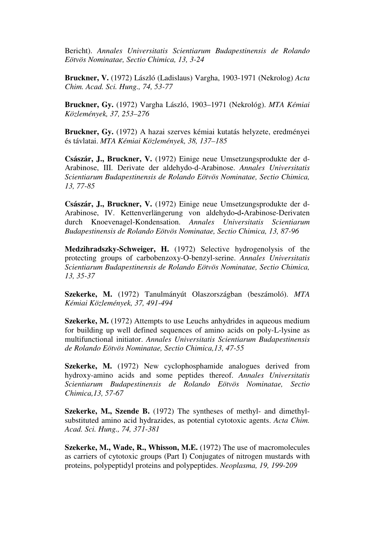Bericht). *Annales Universitatis Scientiarum Budapestinensis de Rolando Eötvös Nominatae, Sectio Chimica, 13, 3-24*

**Bruckner, V.** (1972) László (Ladislaus) Vargha, 1903-1971 (Nekrolog) *Acta Chim. Acad. Sci. Hung., 74, 53-77*

**Bruckner, Gy.** (1972) Vargha László, 1903–1971 (Nekrológ). *MTA Kémiai Közlemények, 37, 253–276*

**Bruckner, Gy.** (1972) A hazai szerves kémiai kutatás helyzete, eredményei és távlatai. *MTA Kémiai Közlemények, 38, 137–185*

**Császár, J., Bruckner, V.** (1972) Einige neue Umsetzungsprodukte der d-Arabinose, III. Derivate der aldehydo-d-Arabinose. *Annales Universitatis Scientiarum Budapestinensis de Rolando Eötvös Nominatae, Sectio Chimica, 13, 77-85*

**Császár, J., Bruckner, V.** (1972) Einige neue Umsetzungsprodukte der d-Arabinose, IV. Kettenverlängerung von aldehydo**-**d**-**Arabinose-Derivaten durch Knoevenagel-Kondensation. *Annales Universitatis Scientiarum Budapestinensis de Rolando Eötvös Nominatae, Sectio Chimica, 13, 87-96*

**Medzihradszky-Schweiger, H.** (1972) Selective hydrogenolysis of the protecting groups of carbobenzoxy-O-benzyl-serine. *Annales Universitatis Scientiarum Budapestinensis de Rolando Eötvös Nominatae, Sectio Chimica, 13, 35-37*

**Szekerke, M.** (1972) Tanulmányút Olaszországban (beszámoló). *MTA Kémiai Közlemények, 37, 491-494*

**Szekerke, M.** (1972) Attempts to use Leuchs anhydrides in aqueous medium for building up well defined sequences of amino acids on poly-L-lysine as multifunctional initiator. *Annales Universitatis Scientiarum Budapestinensis de Rolando Eötvös Nominatae, Sectio Chimica,13, 47-55*

**Szekerke, M.** (1972) New cyclophosphamide analogues derived from hydroxy-amino acids and some peptides thereof. *Annales Universitatis Scientiarum Budapestinensis de Rolando Eötvös Nominatae, Sectio Chimica,13, 57-67*

**Szekerke, M., Szende B.** (1972) The syntheses of methyl- and dimethylsubstituted amino acid hydrazides, as potential cytotoxic agents. *Acta Chim. Acad. Sci. Hung., 74, 371-381*

**Szekerke, M., Wade, R., Whisson, M.E.** (1972) The use of macromolecules as carriers of cytotoxic groups (Part I) Conjugates of nitrogen mustards with proteins, polypeptidyl proteins and polypeptides. *Neoplasma, 19, 199-209*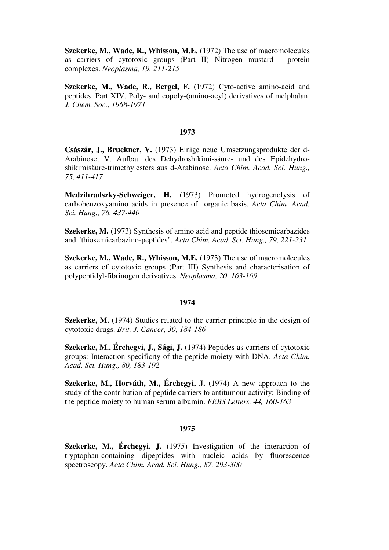**Szekerke, M., Wade, R., Whisson, M.E.** (1972) The use of macromolecules as carriers of cytotoxic groups (Part II) Nitrogen mustard - protein complexes. *Neoplasma, 19, 211-215*

**Szekerke, M., Wade, R., Bergel, F.** (1972) Cyto-active amino-acid and peptides. Part XIV. Poly- and copoly-(amino-acyl) derivatives of melphalan. *J. Chem. Soc., 1968-1971*

# **1973**

**Császár, J., Bruckner, V.** (1973) Einige neue Umsetzungsprodukte der d-Arabinose, V. Aufbau des Dehydroshikimi-säure- und des Epidehydroshikimisäure-trimethylesters aus d-Arabinose. *Acta Chim. Acad. Sci. Hung., 75, 411-417*

**Medzihradszky-Schweiger, H.** (1973) Promoted hydrogenolysis of carbobenzoxyamino acids in presence of organic basis. *Acta Chim. Acad. Sci. Hung., 76, 437-440*

**Szekerke, M.** (1973) Synthesis of amino acid and peptide thiosemicarbazides and "thiosemicarbazino-peptides". *Acta Chim. Acad. Sci. Hung., 79, 221-231*

**Szekerke, M., Wade, R., Whisson, M.E.** (1973) The use of macromolecules as carriers of cytotoxic groups (Part III) Synthesis and characterisation of polypeptidyl-fibrinogen derivatives. *Neoplasma, 20, 163-169*

### **1974**

**Szekerke, M.** (1974) Studies related to the carrier principle in the design of cytotoxic drugs. *Brit. J. Cancer, 30, 184-186*

**Szekerke, M., Érchegyi, J., Sági, J.** (1974) Peptides as carriers of cytotoxic groups: Interaction specificity of the peptide moiety with DNA. *Acta Chim. Acad. Sci. Hung., 80, 183-192*

**Szekerke, M., Horváth, M., Érchegyi, J.** (1974) A new approach to the study of the contribution of peptide carriers to antitumour activity: Binding of the peptide moiety to human serum albumin. *FEBS Letters, 44, 160-163*

### **1975**

**Szekerke, M., Érchegyi, J.** (1975) Investigation of the interaction of tryptophan-containing dipeptides with nucleic acids by fluorescence spectroscopy. *Acta Chim. Acad. Sci. Hung., 87, 293-300*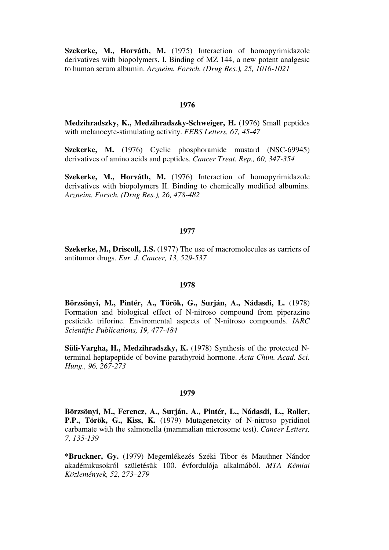**Szekerke, M., Horváth, M.** (1975) Interaction of homopyrimidazole derivatives with biopolymers. I. Binding of MZ 144, a new potent analgesic to human serum albumin. *Arzneim. Forsch. (Drug Res.), 25, 1016-1021*

# **1976**

Medzihradszky, K., Medzihradszky-Schweiger, H. (1976) Small peptides with melanocyte-stimulating activity. *FEBS Letters, 67, 45-47*

**Szekerke, M.** (1976) Cyclic phosphoramide mustard (NSC-69945) derivatives of amino acids and peptides. *Cancer Treat. Rep., 60, 347-354*

**Szekerke, M., Horváth, M.** (1976) Interaction of homopyrimidazole derivatives with biopolymers II. Binding to chemically modified albumins. *Arzneim. Forsch. (Drug Res.), 26, 478-482*

#### **1977**

**Szekerke, M., Driscoll, J.S.** (1977) The use of macromolecules as carriers of antitumor drugs. *Eur. J. Cancer, 13, 529-537*

# **1978**

**Börzsönyi, M., Pintér, A., Török, G., Surján, A., Nádasdi, L.** (1978) Formation and biological effect of N-nitroso compound from piperazine pesticide triforine. Enviromental aspects of N-nitroso compounds. *IARC Scientific Publications, 19, 477-484*

**Süli-Vargha, H., Medzihradszky, K.** (1978) Synthesis of the protected Nterminal heptapeptide of bovine parathyroid hormone. *Acta Chim. Acad. Sci. Hung., 96, 267-273*

# **1979**

**Börzsönyi, M., Ferencz, A., Surján, A., Pintér, L., Nádasdi, L., Roller, P.P., Török, G., Kiss, K.** (1979) Mutagenetcity of N-nitroso pyridinol carbamate with the salmonella (mammalian microsome test). *Cancer Letters, 7, 135-139*

**\*Bruckner, Gy.** (1979) Megemlékezés Széki Tibor és Mauthner Nándor akadémikusokról születésük 100. évfordulója alkalmából. *MTA Kémiai Közlemények, 52, 273–279*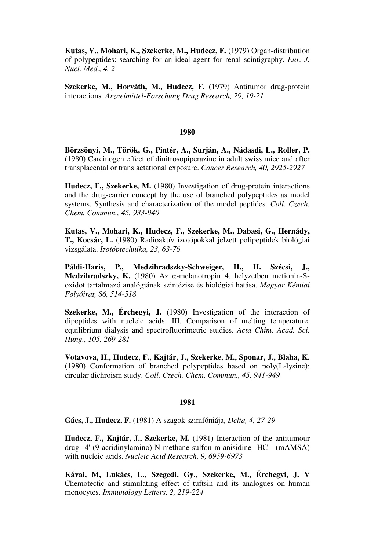**Kutas, V., Mohari, K., Szekerke, M., Hudecz, F.** (1979) Organ-distribution of polypeptides: searching for an ideal agent for renal scintigraphy. *Eur. J. Nucl. Med., 4, 2*

**Szekerke, M., Horváth, M., Hudecz, F.** (1979) Antitumor drug-protein interactions. *Arzneimittel-Forschung Drug Research, 29, 19-21*

# **1980**

**Börzsönyi, M., Török, G., Pintér, A., Surján, A., Nádasdi, L., Roller, P.**  (1980) Carcinogen effect of dinitrosopiperazine in adult swiss mice and after transplacental or translactational exposure. *Cancer Research, 40, 2925-2927*

**Hudecz, F., Szekerke, M.** (1980) Investigation of drug-protein interactions and the drug-carrier concept by the use of branched polypeptides as model systems. Synthesis and characterization of the model peptides. *Coll. Czech. Chem. Commun., 45, 933-940*

**Kutas, V., Mohari, K., Hudecz, F., Szekerke, M., Dabasi, G., Hernády, T., Kocsár, L.** (1980) Radioaktív izotópokkal jelzett polipeptidek biológiai vizsgálata. *Izotóptechnika, 23, 63-76*

**Páldi-Haris, P., Medzihradszky-Schweiger, H., H. Szécsi, J., Medzihradszky, K.** (1980) Az α-melanotropin 4. helyzetben metionin-Soxidot tartalmazó analógjának szintézise és biológiai hatása. *Magyar Kémiai Folyóirat, 86, 514-518*

**Szekerke, M., Érchegyi, J.** (1980) Investigation of the interaction of dipeptides with nucleic acids. III. Comparison of melting temperature, equilibrium dialysis and spectrofluorimetric studies. *Acta Chim. Acad. Sci. Hung., 105, 269-281*

**Votavova, H., Hudecz, F., Kajtár, J., Szekerke, M., Sponar, J., Blaha, K.**  (1980) Conformation of branched polypeptides based on poly(L-lysine): circular dichroism study. *Coll. Czech. Chem. Commun., 45, 941-949*

# **1981**

**Gács, J., Hudecz, F.** (1981) A szagok szimfóniája, *Delta, 4, 27-29*

**Hudecz, F., Kajtár, J., Szekerke, M.** (1981) Interaction of the antitumour drug 4'-(9-acridinylamino)-N-methane-sulfon-m-anisidine HCl (mAMSA) with nucleic acids. *Nucleic Acid Research, 9, 6959-6973*

**Kávai, M, Lukács, L., Szegedi, Gy., Szekerke, M., Érchegyi, J. V** Chemotectic and stimulating effect of tuftsin and its analogues on human monocytes. *Immunology Letters, 2, 219-224*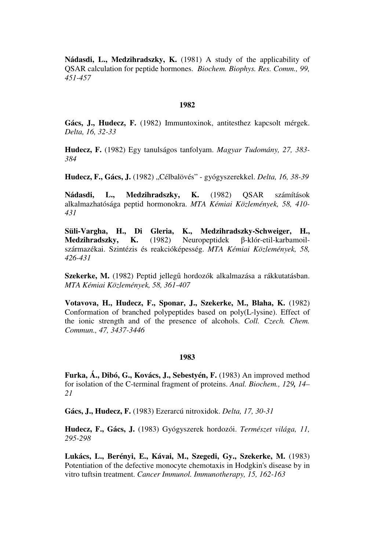**Nádasdi, L., Medzihradszky, K.** (1981) A study of the applicability of QSAR calculation for peptide hormones. *Biochem. Biophys. Res. Comm., 99, 451-457*

# **1982**

**Gács, J., Hudecz, F.** (1982) Immuntoxinok, antitesthez kapcsolt mérgek. *Delta, 16, 32-33*

**Hudecz, F.** (1982) Egy tanulságos tanfolyam. *Magyar Tudomány, 27, 383- 384*

**Hudecz, F., Gács, J.** (1982) "Célbalövés" - gyógyszerekkel. *Delta, 16, 38-39*

**Nádasdi, L., Medzihradszky, K.** (1982) QSAR számítások alkalmazhatósága peptid hormonokra. *MTA Kémiai Közlemények, 58, 410- 431*

**Süli-Vargha, H., Di Gleria, K., Medzihradszky-Schweiger, H., Medzihradszky, K.** (1982) Neuropeptidek β-klór-etil-karbamoilszármazékai. Szintézis és reakcióképesség. *MTA Kémiai Közlemények, 58, 426-431*

**Szekerke, M.** (1982) Peptid jellegű hordozók alkalmazása a rákkutatásban. *MTA Kémiai Közlemények, 58, 361-407*

**Votavova, H., Hudecz, F., Sponar, J., Szekerke, M., Blaha, K.** (1982) Conformation of branched polypeptides based on poly(L-lysine). Effect of the ionic strength and of the presence of alcohols. *Coll. Czech. Chem. Commun., 47, 3437-3446*

#### **1983**

**Furka, Á., Dibó, G., Kovács, J., Sebestyén, F.** (1983) An improved method for isolation of the C-terminal fragment of proteins. *Anal. Biochem., 129, 14– 21*

**Gács, J., Hudecz, F.** (1983) Ezerarcú nitroxidok. *Delta, 17, 30-31*

**Hudecz, F., Gács, J.** (1983) Gyógyszerek hordozói. *Természet világa, 11, 295-298*

**Lukács, L., Berényi, E., Kávai, M., Szegedi, Gy., Szekerke, M.** (1983) Potentiation of the defective monocyte chemotaxis in Hodgkin's disease by in vitro tuftsin treatment. *Cancer Immunol. Immunotherapy, 15, 162-163*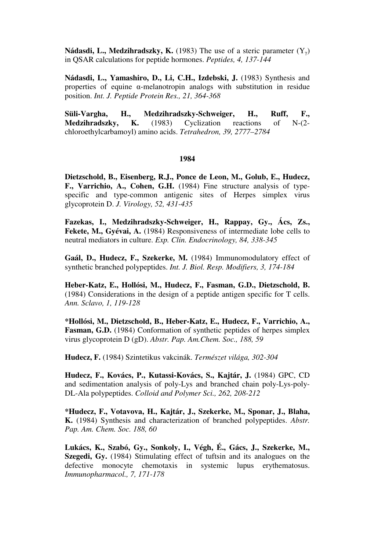**Nádasdi, L., Medzihradszky, K.** (1983) The use of a steric parameter  $(Y_{\gamma})$ in QSAR calculations for peptide hormones. *Peptides, 4, 137-144*

Nádasdi, L., Yamashiro, D., Li, C.H., Izdebski, J. (1983) Synthesis and properties of equine  $\alpha$ -melanotropin analogs with substitution in residue position. *Int. J. Peptide Protein Res., 21, 364-368*

**Süli-Vargha, H., Medzihradszky-Schweiger, H., Ruff, F., Medzihradszky, K.** (1983) Cyclization reactions of N-(2 chloroethylcarbamoyl) amino acids. *Tetrahedron, 39, 2777–2784*

# **1984**

**Dietzschold, B., Eisenberg, R.J., Ponce de Leon, M., Golub, E., Hudecz, F., Varrichio, A., Cohen, G.H.** (1984) Fine structure analysis of typespecific and type-common antigenic sites of Herpes simplex virus glycoprotein D. *J. Virology, 52, 431-435*

**Fazekas, I., Medzihradszky-Schweiger, H., Rappay, Gy., Ács, Zs.,**  Fekete, M., Gyévai, A. (1984) Responsiveness of intermediate lobe cells to neutral mediators in culture. *Exp. Clin. Endocrinology, 84, 338-345*

**Gaál, D., Hudecz, F., Szekerke, M.** (1984) Immunomodulatory effect of synthetic branched polypeptides. *Int. J. Biol. Resp. Modifiers, 3, 174-184*

**Heber-Katz, E., Hollósi, M., Hudecz, F., Fasman, G.D., Dietzschold, B.**  (1984) Considerations in the design of a peptide antigen specific for T cells. *Ann. Sclavo, 1, 119-128*

**\*Hollósi, M., Dietzschold, B., Heber-Katz, E., Hudecz, F., Varrichio, A., Fasman, G.D.** (1984) Conformation of synthetic peptides of herpes simplex virus glycoprotein D (gD). *Abstr. Pap. Am.Chem. Soc., 188, 59*

**Hudecz, F.** (1984) Szintetikus vakcinák. *Természet világa, 302-304*

**Hudecz, F., Kovács, P., Kutassi-Kovács, S., Kajtár, J.** (1984) GPC, CD and sedimentation analysis of poly-Lys and branched chain poly-Lys-poly-DL-Ala polypeptides. *Colloid and Polymer Sci., 262, 208-212*

**\*Hudecz, F., Votavova, H., Kajtár, J., Szekerke, M., Sponar, J., Blaha, K.** (1984) Synthesis and characterization of branched polypeptides. *Abstr. Pap. Am. Chem. Soc. 188, 60*

**Lukács, K., Szabó, Gy., Sonkoly, I., Végh, É., Gács, J., Szekerke, M., Szegedi, Gy.** (1984) Stimulating effect of tuftsin and its analogues on the defective monocyte chemotaxis in systemic lupus erythematosus. *Immunopharmacol., 7, 171-178*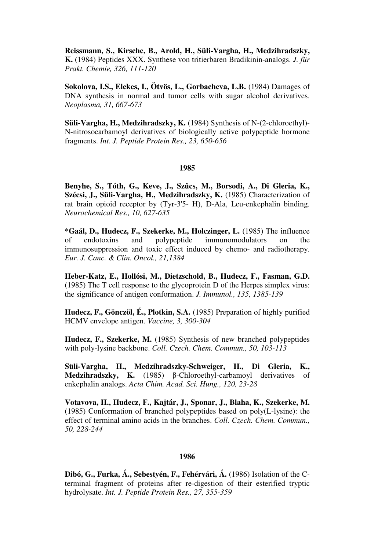**Reissmann, S., Kirsche, B., Arold, H., Süli-Vargha, H., Medzihradszky, K.** (1984) Peptides XXX. Synthese von tritierbaren Bradikinin-analogs. *J. für Prakt. Chemie, 326, 111-120*

**Sokolova, I.S., Elekes, I., Ötvös, L., Gorbacheva, L.B.** (1984) Damages of DNA synthesis in normal and tumor cells with sugar alcohol derivatives. *Neoplasma, 31, 667-673*

**Süli-Vargha, H., Medzihradszky, K.** (1984) Synthesis of N-(2-chloroethyl)- N-nitrosocarbamoyl derivatives of biologically active polypeptide hormone fragments. *Int. J. Peptide Protein Res., 23, 650-656*

# **1985**

**Benyhe, S., Tóth, G., Keve, J., Sz**ű**cs, M., Borsodi, A., Di Gleria, K., Szécsi, J., Süli-Vargha, H., Medzihradszky, K.** (1985) Characterization of rat brain opioid receptor by (Tyr-3'5- H), D-Ala, Leu-enkephalin binding*. Neurochemical Res., 10, 627-635*

**\*Gaál, D., Hudecz, F., Szekerke, M., Holczinger, L.** (1985) The influence of endotoxins and polypeptide immunomodulators on the immunosuppression and toxic effect induced by chemo- and radiotherapy. *Eur. J. Canc. & Clin. Oncol., 21,1384*

**Heber-Katz, E., Hollósi, M., Dietzschold, B., Hudecz, F., Fasman, G.D.**  (1985) The T cell response to the glycoprotein D of the Herpes simplex virus: the significance of antigen conformation. *J. Immunol., 135, 1385-139*

**Hudecz, F., Gönczöl, É., Plotkin, S.A.** (1985) Preparation of highly purified HCMV envelope antigen. *Vaccine, 3, 300-304* 

**Hudecz, F., Szekerke, M.** (1985) Synthesis of new branched polypeptides with poly-lysine backbone. *Coll. Czech. Chem. Commun., 50, 103-113*

**Süli-Vargha, H., Medzihradszky-Schweiger, H., Di Gleria, K., Medzihradszky, K.** (1985) β-Chloroethyl-carbamoyl derivatives of enkephalin analogs. *Acta Chim. Acad. Sci. Hung., 120, 23-28*

**Votavova, H., Hudecz, F., Kajtár, J., Sponar, J., Blaha, K., Szekerke, M.**  (1985) Conformation of branched polypeptides based on poly(L-lysine): the effect of terminal amino acids in the branches. *Coll. Czech. Chem. Commun., 50, 228-244*

# **1986**

**Dibó, G., Furka, Á., Sebestyén, F., Fehérvári, Á.** (1986) Isolation of the Cterminal fragment of proteins after re-digestion of their esterified tryptic hydrolysate. *Int. J. Peptide Protein Res., 27, 355-359*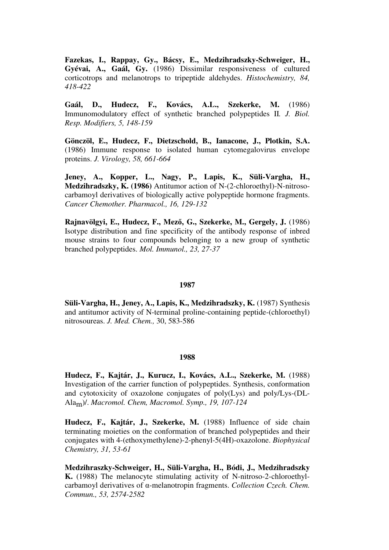**Fazekas, I., Rappay, Gy., Bácsy, E., Medzihradszky-Schweiger, H., Gyévai, A., Gaál, Gy.** (1986) Dissimilar responsiveness of cultured corticotrops and melanotrops to tripeptide aldehydes. *Histochemistry, 84, 418-422*

**Gaál, D., Hudecz, F., Kovács, A.L., Szekerke, M.** (1986) Immunomodulatory effect of synthetic branched polypeptides II*. J. Biol. Resp. Modifiers, 5, 148-159*

**Gönczöl, E., Hudecz, F., Dietzschold, B., Ianacone, J., Plotkin, S.A.**  (1986) Immune response to isolated human cytomegalovirus envelope proteins. *J. Virology, 58, 661-664*

**Jeney, A., Kopper, L., Nagy, P., Lapis, K., Süli-Vargha, H., Medzihradszky, K. (1986)** Antitumor action of N-(2-chloroethyl)-N-nitrosocarbamoyl derivatives of biologically active polypeptide hormone fragments. *Cancer Chemother. Pharmacol., 16, 129-132*

**Rajnavölgyi, E., Hudecz, F., Mez**ő**, G., Szekerke, M., Gergely, J.** (1986) Isotype distribution and fine specificity of the antibody response of inbred mouse strains to four compounds belonging to a new group of synthetic branched polypeptides. *Mol. Immunol., 23, 27-37*

#### **1987**

**Süli-Vargha, H., Jeney, A., Lapis, K., Medzihradszky, K.** (1987) Synthesis and antitumor activity of N-terminal proline-containing peptide-(chloroethyl) nitrosoureas. *J. Med. Chem.,* 30, 583-586

#### **1988**

**Hudecz, F., Kajtár, J., Kurucz, I., Kovács, A.L., Szekerke, M.** (1988) Investigation of the carrier function of polypeptides. Synthesis, conformation and cytotoxicity of oxazolone conjugates of poly(Lys) and poly/Lys-(DL-Alam)/. *Macromol. Chem, Macromol. Symp., 19, 107-124*

**Hudecz, F., Kajtár, J., Szekerke, M.** (1988) Influence of side chain terminating moieties on the conformation of branched polypeptides and their conjugates with 4-(ethoxymethylene)-2-phenyl-5(4H)-oxazolone. *Biophysical Chemistry, 31, 53-61*

**Medzihraszky-Schweiger, H., Süli-Vargha, H., Bódi, J., Medzihradszky K.** (1988) The melanocyte stimulating activity of N-nitroso-2-chloroethylcarbamoyl derivatives of α-melanotropin fragments. *Collection Czech. Chem. Commun., 53, 2574-2582*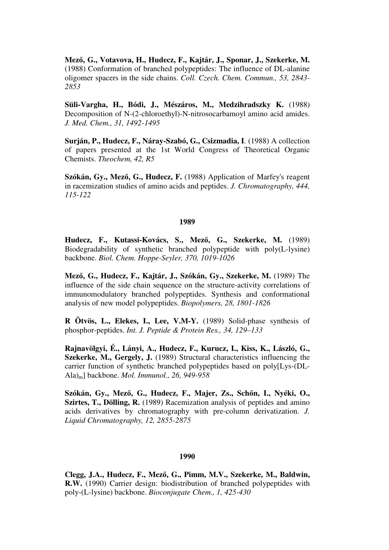**Mez**ő**, G., Votavova, H., Hudecz, F., Kajtár, J., Sponar, J., Szekerke, M.**  (1988) Conformation of branched polypeptides: The influence of DL-alanine oligomer spacers in the side chains. *Coll. Czech. Chem. Commun., 53, 2843- 2853*

**Süli-Vargha, H., Bódi, J., Mészáros, M., Medzihradszky K.** (1988) Decomposition of N-(2-chloroethyl)-N-nitrosocarbamoyl amino acid amides. *J. Med. Chem., 31, 1492-1495*

**Surján, P., Hudecz, F., Náray-Szabó, G., Csizmadia, I**. (1988) A collection of papers presented at the 1st World Congress of Theoretical Organic Chemists. *Theochem, 42, R5* 

**Szókán, Gy., Mez**ő**, G., Hudecz, F.** (1988) Application of Marfey's reagent in racemization studies of amino acids and peptides. *J. Chromatography, 444, 115-122*

### **1989**

**Hudecz, F., Kutassi-Kovács, S., Mez**ő**, G., Szekerke, M.** (1989) Biodegradability of synthetic branched polypeptide with poly(L-lysine) backbone. *Biol. Chem. Hoppe-Seyler, 370, 1019-1026*

**Mez**ő**, G., Hudecz, F., Kajtár, J., Szókán, Gy., Szekerke, M.** (1989) The influence of the side chain sequence on the structure-activity correlations of immunomodulatory branched polypeptides. Synthesis and conformational analysis of new model polypeptides. *Biopolymers, 28, 1801-1826*

**R Ötvös, L., Elekes, I., Lee, V.M-Y.** (1989) Solid-phase synthesis of phosphor-peptides. *Int. J. Peptide & Protein Res., 34, 129–133*

**Rajnavölgyi, É., Lányi, A., Hudecz, F., Kurucz, I., Kiss, K., László, G., Szekerke, M., Gergely, J.** (1989) Structural characteristics influencing the carrier function of synthetic branched polypeptides based on poly[Lys-(DL-Ala)m] backbone. *Mol. Immunol., 26, 949-958*

**Szókán, Gy., Mez**ő**, G., Hudecz, F., Majer, Zs., Sch**ő**n, I., Nyéki, O., Szirtes, T., Dölling, R.** (1989) Racemization analysis of peptides and amino acids derivatives by chromatography with pre-column derivatization. *J. Liquid Chromatography, 12, 2855-2875*

### **1990**

**Clegg, J.A., Hudecz, F., Mez**ő**, G., Pimm, M.V., Szekerke, M., Baldwin, R.W.** (1990) Carrier design: biodistribution of branched polypeptides with poly-(L-lysine) backbone. *Bioconjugate Chem., 1, 425-430*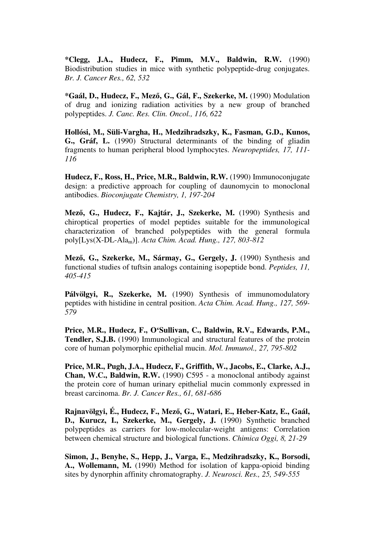**\*Clegg, J.A., Hudecz, F., Pimm, M.V., Baldwin, R.W.** (1990) Biodistribution studies in mice with synthetic polypeptide-drug conjugates. *Br. J. Cancer Res., 62, 532*

**\*Gaál, D., Hudecz, F., Mez**ő**, G., Gál, F., Szekerke, M.** (1990) Modulation of drug and ionizing radiation activities by a new group of branched polypeptides. *J. Canc. Res. Clin. Oncol., 116, 622*

**Hollósi, M., Süli-Vargha, H., Medzihradszky, K., Fasman, G.D., Kunos, G., Gráf, L.** (1990) Structural determinants of the binding of gliadin fragments to human peripheral blood lymphocytes. *Neuropeptides, 17, 111- 116*

**Hudecz, F., Ross, H., Price, M.R., Baldwin, R.W.** (1990) Immunoconjugate design: a predictive approach for coupling of daunomycin to monoclonal antibodies. *Bioconjugate Chemistry, 1, 197-204*

**Mez**ő**, G., Hudecz, F., Kajtár, J., Szekerke, M.** (1990) Synthesis and chiroptical properties of model peptides suitable for the immunological characterization of branched polypeptides with the general formula poly[Lys(X-DL-Alam)]. *Acta Chim. Acad. Hung., 127, 803-812*

**Mez**ő**, G., Szekerke, M., Sármay, G., Gergely, J.** (1990) Synthesis and functional studies of tuftsin analogs containing isopeptide bond. *Peptides, 11, 405-415*

Pálvölgyi, R., Szekerke, M. (1990) Synthesis of immunomodulatory peptides with histidine in central position. *Acta Chim. Acad. Hung., 127, 569- 579*

**Price, M.R., Hudecz, F., O'Sullivan, C., Baldwin, R.V., Edwards, P.M., Tendler, S.J.B.** (1990) Immunological and structural features of the protein core of human polymorphic epithelial mucin. *Mol. Immunol., 27, 795-802*

**Price, M.R., Pugh, J.A., Hudecz, F., Griffith, W., Jacobs, E., Clarke, A.J., Chan, W.C., Baldwin, R.W.** (1990) C595 - a monoclonal antibody against the protein core of human urinary epithelial mucin commonly expressed in breast carcinoma. *Br. J. Cancer Res., 61, 681-686*

**Rajnavölgyi, É., Hudecz, F., Mez**ő**, G., Watari, E., Heber-Katz, E., Gaál, D., Kurucz, I., Szekerke, M., Gergely, J.** (1990) Synthetic branched polypeptides as carriers for low-molecular-weight antigens: Correlation between chemical structure and biological functions. *Chimica Oggi, 8, 21-29*

**Simon, J., Benyhe, S., Hepp, J., Varga, E., Medzihradszky, K., Borsodi, A., Wollemann, M.** (1990) Method for isolation of kappa-opioid binding sites by dynorphin affinity chromatography. *J. Neurosci. Res., 25, 549-555*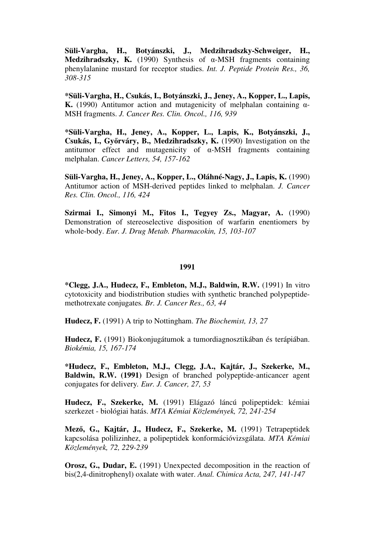**Süli-Vargha, H., Botyánszki, J., Medzihradszky-Schweiger, H., Medzihradszky, K.** (1990) Synthesis of α-MSH fragments containing phenylalanine mustard for receptor studies. *Int. J. Peptide Protein Res., 36, 308-315*

**\*Süli-Vargha, H., Csukás, I., Botyánszki, J., Jeney, A., Kopper, L., Lapis, K.** (1990) Antitumor action and mutagenicity of melphalan containing α-MSH fragments. *J. Cancer Res. Clin. Oncol., 116, 939*

**\*Süli-Vargha, H., Jeney, A., Kopper, L., Lapis, K., Botyánszki, J., Csukás, I., Gy**ő**rváry, B., Medzihradszky, K.** (1990) Investigation on the antitumor effect and mutagenicity of α-MSH fragments containing melphalan. *Cancer Letters, 54, 157-162*

**Süli-Vargha, H., Jeney, A., Kopper, L., Oláhné-Nagy, J., Lapis, K.** (1990) Antitumor action of MSH-derived peptides linked to melphalan. *J. Cancer Res. Clin. Oncol., 116, 424*

**Szirmai I., Simonyi M., Fitos I., Tegyey Zs., Magyar, A.** (1990) Demonstration of stereoselective disposition of warfarin enentiomers by whole-body. *Eur. J. Drug Metab. Pharmacokin, 15, 103-107*

#### **1991**

**\*Clegg, J.A., Hudecz, F., Embleton, M.J., Baldwin, R.W.** (1991) In vitro cytotoxicity and biodistribution studies with synthetic branched polypeptidemethotrexate conjugates*. Br. J. Cancer Res., 63, 44*

**Hudecz, F.** (1991) A trip to Nottingham. *The Biochemist, 13, 27*

**Hudecz, F.** (1991) Biokonjugátumok a tumordiagnosztikában és terápiában. *Biokémia, 15, 167-174*

**\*Hudecz, F., Embleton, M.J., Clegg, J.A., Kajtár, J., Szekerke, M., Baldwin, R.W. (1991)** Design of branched polypeptide-anticancer agent conjugates for delivery*. Eur. J. Cancer, 27, 53*

**Hudecz, F., Szekerke, M.** (1991) Elágazó láncú polipeptidek: kémiai szerkezet - biológiai hatás. *MTA Kémiai Közlemények, 72, 241-254*

**Mez**ő**, G., Kajtár, J., Hudecz, F., Szekerke, M.** (1991) Tetrapeptidek kapcsolása polilizinhez, a polipeptidek konformációvizsgálata. *MTA Kémiai Közlemények, 72, 229-239*

**Orosz, G., Dudar, E.** (1991) Unexpected decomposition in the reaction of bis(2,4-dinitrophenyl) oxalate with water. *Anal. Chimica Acta, 247, 141-147*